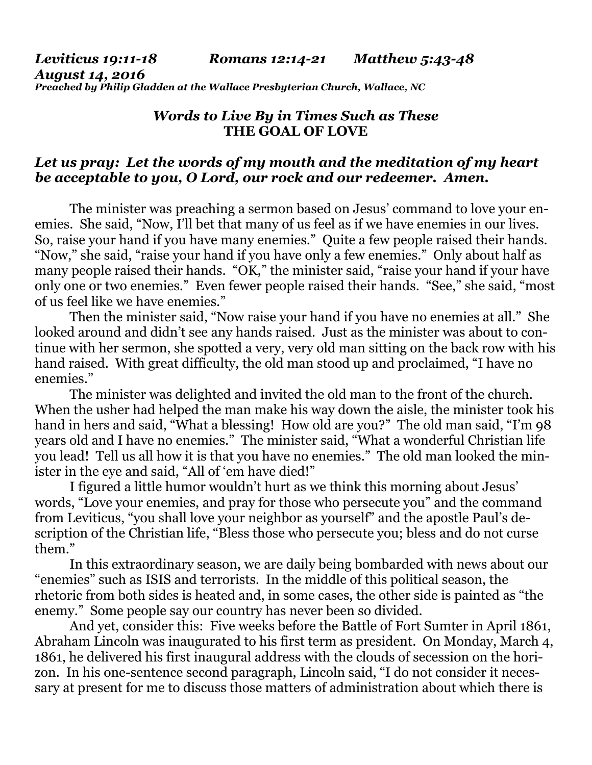### *Leviticus 19:11-18 Romans 12:14-21 Matthew 5:43-48 August 14, 2016 Preached by Philip Gladden at the Wallace Presbyterian Church, Wallace, NC*

# *Words to Live By in Times Such as These*  **THE GOAL OF LOVE**

### *Let us pray: Let the words of my mouth and the meditation of my heart be acceptable to you, O Lord, our rock and our redeemer. Amen.*

The minister was preaching a sermon based on Jesus' command to love your enemies. She said, "Now, I'll bet that many of us feel as if we have enemies in our lives. So, raise your hand if you have many enemies." Quite a few people raised their hands. "Now," she said, "raise your hand if you have only a few enemies." Only about half as many people raised their hands. "OK," the minister said, "raise your hand if your have only one or two enemies." Even fewer people raised their hands. "See," she said, "most of us feel like we have enemies."

 Then the minister said, "Now raise your hand if you have no enemies at all." She looked around and didn't see any hands raised. Just as the minister was about to continue with her sermon, she spotted a very, very old man sitting on the back row with his hand raised. With great difficulty, the old man stood up and proclaimed, "I have no enemies."

 The minister was delighted and invited the old man to the front of the church. When the usher had helped the man make his way down the aisle, the minister took his hand in hers and said, "What a blessing! How old are you?" The old man said, "I'm 98 years old and I have no enemies." The minister said, "What a wonderful Christian life you lead! Tell us all how it is that you have no enemies." The old man looked the minister in the eye and said, "All of 'em have died!"

 I figured a little humor wouldn't hurt as we think this morning about Jesus' words, "Love your enemies, and pray for those who persecute you" and the command from Leviticus, "you shall love your neighbor as yourself" and the apostle Paul's description of the Christian life, "Bless those who persecute you; bless and do not curse them."

 In this extraordinary season, we are daily being bombarded with news about our "enemies" such as ISIS and terrorists. In the middle of this political season, the rhetoric from both sides is heated and, in some cases, the other side is painted as "the enemy." Some people say our country has never been so divided.

 And yet, consider this: Five weeks before the Battle of Fort Sumter in April 1861, Abraham Lincoln was inaugurated to his first term as president. On Monday, March 4, 1861, he delivered his first inaugural address with the clouds of secession on the horizon. In his one-sentence second paragraph, Lincoln said, "I do not consider it necessary at present for me to discuss those matters of administration about which there is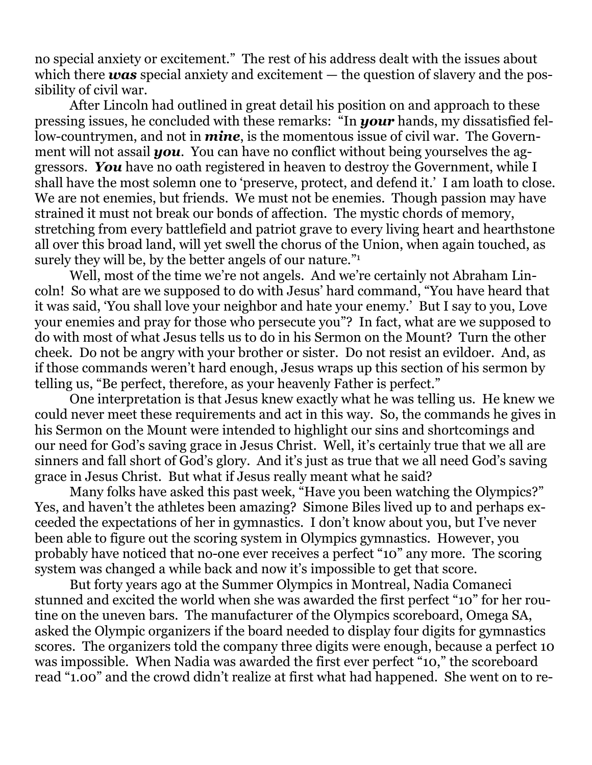no special anxiety or excitement." The rest of his address dealt with the issues about which there *was* special anxiety and excitement  $-$  the question of slavery and the possibility of civil war.

 After Lincoln had outlined in great detail his position on and approach to these pressing issues, he concluded with these remarks: "In *your* hands, my dissatisfied fellow-countrymen, and not in *mine*, is the momentous issue of civil war. The Government will not assail *you*. You can have no conflict without being yourselves the aggressors. *You* have no oath registered in heaven to destroy the Government, while I shall have the most solemn one to 'preserve, protect, and defend it.' I am loath to close. We are not enemies, but friends. We must not be enemies. Though passion may have strained it must not break our bonds of affection. The mystic chords of memory, stretching from every battlefield and patriot grave to every living heart and hearthstone all over this broad land, will yet swell the chorus of the Union, when again touched, as surely they will be, by the better angels of our nature."1

 Well, most of the time we're not angels. And we're certainly not Abraham Lincoln! So what are we supposed to do with Jesus' hard command, "You have heard that it was said, 'You shall love your neighbor and hate your enemy.' But I say to you, Love your enemies and pray for those who persecute you"? In fact, what are we supposed to do with most of what Jesus tells us to do in his Sermon on the Mount? Turn the other cheek. Do not be angry with your brother or sister. Do not resist an evildoer. And, as if those commands weren't hard enough, Jesus wraps up this section of his sermon by telling us, "Be perfect, therefore, as your heavenly Father is perfect."

 One interpretation is that Jesus knew exactly what he was telling us. He knew we could never meet these requirements and act in this way. So, the commands he gives in his Sermon on the Mount were intended to highlight our sins and shortcomings and our need for God's saving grace in Jesus Christ. Well, it's certainly true that we all are sinners and fall short of God's glory. And it's just as true that we all need God's saving grace in Jesus Christ. But what if Jesus really meant what he said?

 Many folks have asked this past week, "Have you been watching the Olympics?" Yes, and haven't the athletes been amazing? Simone Biles lived up to and perhaps exceeded the expectations of her in gymnastics. I don't know about you, but I've never been able to figure out the scoring system in Olympics gymnastics. However, you probably have noticed that no-one ever receives a perfect "10" any more. The scoring system was changed a while back and now it's impossible to get that score.

 But forty years ago at the Summer Olympics in Montreal, Nadia Comaneci stunned and excited the world when she was awarded the first perfect "10" for her routine on the uneven bars. The manufacturer of the Olympics scoreboard, Omega SA, asked the Olympic organizers if the board needed to display four digits for gymnastics scores. The organizers told the company three digits were enough, because a perfect 10 was impossible. When Nadia was awarded the first ever perfect "10," the scoreboard read "1.00" and the crowd didn't realize at first what had happened. She went on to re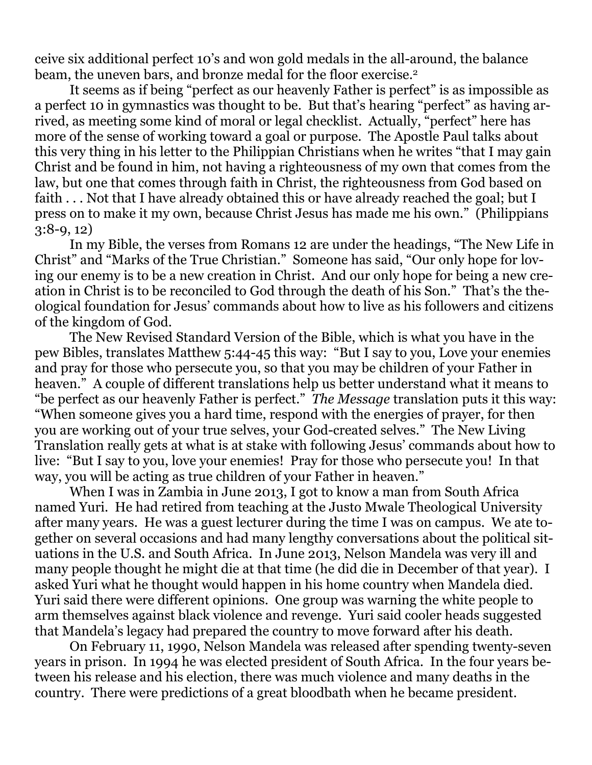ceive six additional perfect 10's and won gold medals in the all-around, the balance beam, the uneven bars, and bronze medal for the floor exercise.<sup>2</sup>

 It seems as if being "perfect as our heavenly Father is perfect" is as impossible as a perfect 10 in gymnastics was thought to be. But that's hearing "perfect" as having arrived, as meeting some kind of moral or legal checklist. Actually, "perfect" here has more of the sense of working toward a goal or purpose. The Apostle Paul talks about this very thing in his letter to the Philippian Christians when he writes "that I may gain Christ and be found in him, not having a righteousness of my own that comes from the law, but one that comes through faith in Christ, the righteousness from God based on faith . . . Not that I have already obtained this or have already reached the goal; but I press on to make it my own, because Christ Jesus has made me his own." (Philippians 3:8-9, 12)

 In my Bible, the verses from Romans 12 are under the headings, "The New Life in Christ" and "Marks of the True Christian." Someone has said, "Our only hope for loving our enemy is to be a new creation in Christ. And our only hope for being a new creation in Christ is to be reconciled to God through the death of his Son." That's the theological foundation for Jesus' commands about how to live as his followers and citizens of the kingdom of God.

 The New Revised Standard Version of the Bible, which is what you have in the pew Bibles, translates Matthew 5:44-45 this way: "But I say to you, Love your enemies and pray for those who persecute you, so that you may be children of your Father in heaven." A couple of different translations help us better understand what it means to "be perfect as our heavenly Father is perfect." *The Message* translation puts it this way: "When someone gives you a hard time, respond with the energies of prayer, for then you are working out of your true selves, your God-created selves." The New Living Translation really gets at what is at stake with following Jesus' commands about how to live: "But I say to you, love your enemies! Pray for those who persecute you! In that way, you will be acting as true children of your Father in heaven."

 When I was in Zambia in June 2013, I got to know a man from South Africa named Yuri. He had retired from teaching at the Justo Mwale Theological University after many years. He was a guest lecturer during the time I was on campus. We ate together on several occasions and had many lengthy conversations about the political situations in the U.S. and South Africa. In June 2013, Nelson Mandela was very ill and many people thought he might die at that time (he did die in December of that year). I asked Yuri what he thought would happen in his home country when Mandela died. Yuri said there were different opinions. One group was warning the white people to arm themselves against black violence and revenge. Yuri said cooler heads suggested that Mandela's legacy had prepared the country to move forward after his death.

 On February 11, 1990, Nelson Mandela was released after spending twenty-seven years in prison. In 1994 he was elected president of South Africa. In the four years between his release and his election, there was much violence and many deaths in the country. There were predictions of a great bloodbath when he became president.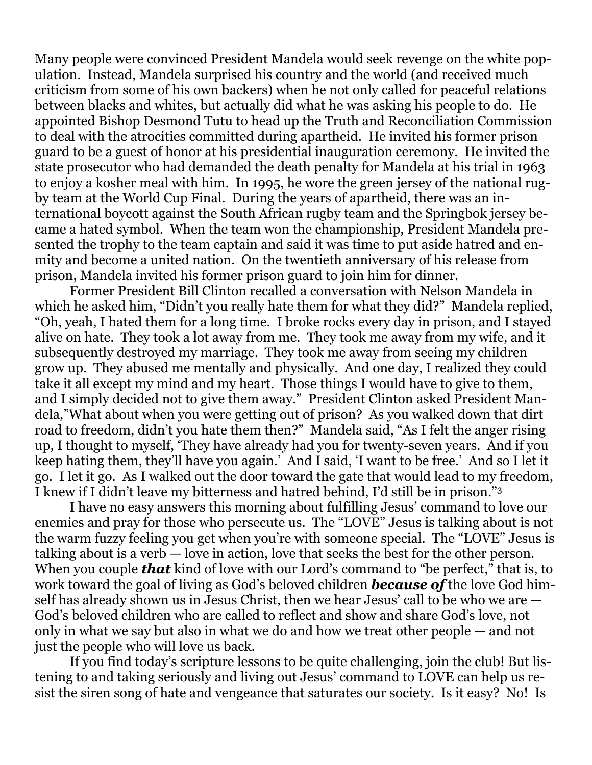Many people were convinced President Mandela would seek revenge on the white population. Instead, Mandela surprised his country and the world (and received much criticism from some of his own backers) when he not only called for peaceful relations between blacks and whites, but actually did what he was asking his people to do. He appointed Bishop Desmond Tutu to head up the Truth and Reconciliation Commission to deal with the atrocities committed during apartheid. He invited his former prison guard to be a guest of honor at his presidential inauguration ceremony. He invited the state prosecutor who had demanded the death penalty for Mandela at his trial in 1963 to enjoy a kosher meal with him. In 1995, he wore the green jersey of the national rugby team at the World Cup Final. During the years of apartheid, there was an international boycott against the South African rugby team and the Springbok jersey became a hated symbol. When the team won the championship, President Mandela presented the trophy to the team captain and said it was time to put aside hatred and enmity and become a united nation. On the twentieth anniversary of his release from prison, Mandela invited his former prison guard to join him for dinner.

 Former President Bill Clinton recalled a conversation with Nelson Mandela in which he asked him, "Didn't you really hate them for what they did?" Mandela replied, "Oh, yeah, I hated them for a long time. I broke rocks every day in prison, and I stayed alive on hate. They took a lot away from me. They took me away from my wife, and it subsequently destroyed my marriage. They took me away from seeing my children grow up. They abused me mentally and physically. And one day, I realized they could take it all except my mind and my heart. Those things I would have to give to them, and I simply decided not to give them away." President Clinton asked President Mandela,"What about when you were getting out of prison? As you walked down that dirt road to freedom, didn't you hate them then?" Mandela said, "As I felt the anger rising up, I thought to myself, 'They have already had you for twenty-seven years. And if you keep hating them, they'll have you again.' And I said, 'I want to be free.' And so I let it go. I let it go. As I walked out the door toward the gate that would lead to my freedom, I knew if I didn't leave my bitterness and hatred behind, I'd still be in prison."3

 I have no easy answers this morning about fulfilling Jesus' command to love our enemies and pray for those who persecute us. The "LOVE" Jesus is talking about is not the warm fuzzy feeling you get when you're with someone special. The "LOVE" Jesus is talking about is a verb — love in action, love that seeks the best for the other person. When you couple *that* kind of love with our Lord's command to "be perfect," that is, to work toward the goal of living as God's beloved children *because of* the love God himself has already shown us in Jesus Christ, then we hear Jesus' call to be who we are — God's beloved children who are called to reflect and show and share God's love, not only in what we say but also in what we do and how we treat other people — and not just the people who will love us back.

 If you find today's scripture lessons to be quite challenging, join the club! But listening to and taking seriously and living out Jesus' command to LOVE can help us resist the siren song of hate and vengeance that saturates our society. Is it easy? No! Is